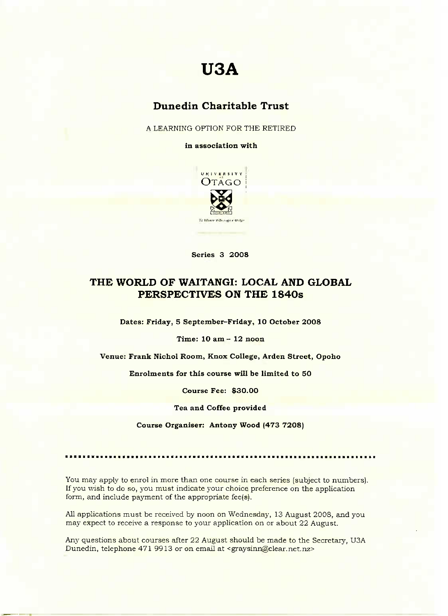# **USA**

## Dunedin **Charitable Trust**

A LEARNING OPTION FOR THE RETIRED

**in association with**



**Series 3 2OOS**

### **THE WORLD OF WAITANGI: LOCAL AND GLOBAL PERSPECTIVES ON THE 184Os**

**Dates: Friday, 5 September-Friday, 10 October 2008**

**Time: 10 am - 12 noon**

**Venue: Frank Nichol Room, Knox College, Arden Street, Opoho**

**Enrolments for this course will be limited to 50**

**Course Fee: \$30.00**

**Tea and Coffee provided**

**Course Organiser: Antony Wood (473 72O8)**

You may apply to enrol in more than one course in each series (subject to numbers). If you wish to do so, you must indicate your choice preference on the application form, and include payment of the appropriate fee(s).

All applications must be received by noon on Wednesday, 13 August 2008, and you may expect to receive a response to your application on or about 22 August.

Any questions about courses after 22 August should be made to the Secretary, U3A Dunedin, telephone 471 9913 or on email at <graysinn@clear.net.nz>